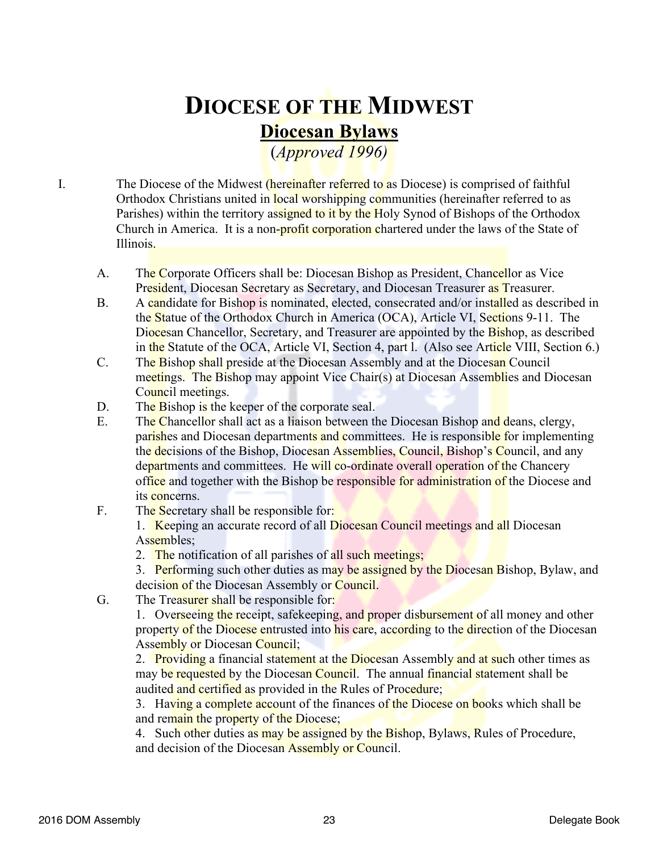## **DIOCESE OF THE MIDWEST Diocesan Bylaws**

(*Approved 1996)*

I. The Diocese of the Midwest *(hereinafter referred to as Diocese)* is comprised of faithful Orthodox Christians united in local worshipping communities (hereinafter referred to as Parishes) within the territory assigned to it by the Holy Synod of Bishops of the Orthodox Church in America. It is a non-profit corporation chartered under the laws of the State of Illinois.

- A. The Corporate Officers shall be: Diocesan Bishop as President, Chancellor as Vice President, Diocesan Secretary as Secretary, and Diocesan Treasurer as Treasurer.
- B. A candidate for Bishop is nominated, elected, consecrated and/or installed as described in the Statue of the Orthodox Church in America (OCA), Article VI, Sections 9-11. The Diocesan Chancellor, Secretary, and Treasurer are appointed by the Bishop, as described in the Statute of the OCA, Article VI, Section 4, part l. (Also see Article VIII, Section 6.)
- C. The Bishop shall preside at the Diocesan Assembly and at the Diocesan Council meetings. The Bishop may appoint Vice Chair(s) at Diocesan Assemblies and Diocesan Council meetings.
- D. The Bishop is the keeper of the corporate seal.
- E. The Chancellor shall act as a liaison between the Diocesan Bishop and deans, clergy, parishes and Diocesan departments and committees. He is responsible for implementing the decisions of the Bishop, Diocesan Assemblies, Council, Bishop's Council, and any departments and committees. He will co-ordinate overall operation of the Chancery office and together with the Bishop be responsible for administration of the Diocese and its concerns.
- F. The Secretary shall be responsible for:

1. Keeping an accurate record of all Diocesan Council meetings and all Diocesan Assembles;

- 2. The notification of all parishes of all such meetings;
- 3. Performing such other duties as may be assigned by the Diocesan Bishop, Bylaw, and
- decision of the Diocesan Assembly or Council.
- G. The Treasurer shall be responsible for:

1. Overseeing the receipt, safekeeping, and proper disbursement of all money and other property of the Diocese entrusted into his care, according to the direction of the Diocesan Assembly or Diocesan Council;

2. Providing a financial statement at the Diocesan Assembly and at such other times as may be requested by the Diocesan Council. The annual financial statement shall be audited and certified as provided in the Rules of Procedure;

3. Having a complete account of the finances of the Diocese on books which shall be and remain the property of the Diocese;

4. Such other duties as may be assigned by the Bishop, Bylaws, Rules of Procedure, and decision of the Diocesan Assembly or Council.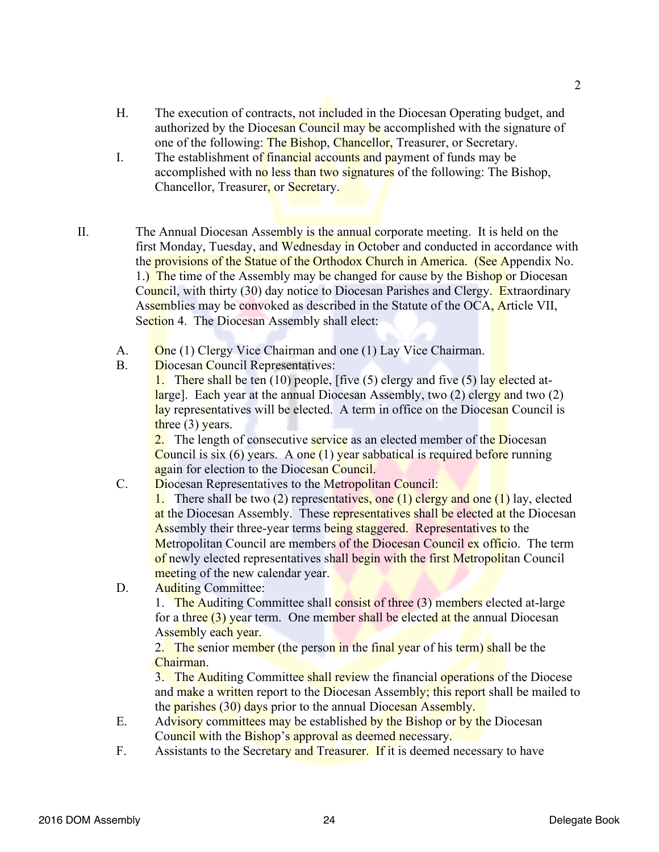- H. The execution of contracts, not included in the Diocesan Operating budget, and authorized by the Diocesan Council may be accomplished with the signature of one of the following: The Bishop, Chancellor, Treasurer, or Secretary.
- I. The establishment of financial accounts and payment of funds may be accomplished with no less than two signatures of the following: The Bishop, Chancellor, Treasurer, or Secretary.
- II. The Annual Diocesan Assembly is the annual corporate meeting. It is held on the first Monday, Tuesday, and Wednesday in October and conducted in accordance with the provisions of the Statue of the Orthodox Church in America. (See Appendix No. 1.) The time of the Assembly may be changed for cause by the Bishop or Diocesan Council, with thirty (30) day notice to Diocesan Parishes and Clergy. Extraordinary Assemblies may be convoked as described in the Statute of the OCA, Article VII, Section 4. The Diocesan Assembly shall elect:
	- A. One (1) Clergy Vice Chairman and one (1) Lay Vice Chairman.
	- B. Diocesan Council Representatives:

1. There shall be ten  $(10)$  people, [five  $(5)$  clergy and five  $(5)$  lay elected atlarge]. Each year at the annual Diocesan Assembly, two (2) clergy and two (2) lay representatives will be elected. A term in office on the Diocesan Council is three  $(3)$  years.

2. The length of consecutive **service** as an elected member of the Diocesan Council is six (6) years. A one  $(1)$  year sabbatical is required before running again for election to the Diocesan Council.

C. Diocesan Representatives to the Metropolitan Council:

1. There shall be two (2) representatives, one (1) clergy and one (1) lay, elected at the Diocesan Assembly. These representatives shall be elected at the Diocesan Assembly their three-year terms being staggered. Representatives to the Metropolitan Council are members of the Diocesan Council ex officio. The term of newly elected representatives shall begin with the first Metropolitan Council meeting of the new calendar year.

D. Auditing Committee:

1. The Auditing Committee shall consist of three (3) members elected at-large for a three (3) year term. One member shall be elected at the annual Diocesan Assembly each year.

2. The senior member (the person in the final year of his term) shall be the **Chairman** 

3. The Auditing Committee shall review the financial operations of the Diocese and make a written report to the Diocesan Assembly; this report shall be mailed to the parishes (30) days prior to the annual Diocesan Assembly.

- E. Advisory committees may be established by the Bishop or by the Diocesan Council with the Bishop's approval as deemed necessary.
- F. Assistants to the Secretary and Treasurer. If it is deemed necessary to have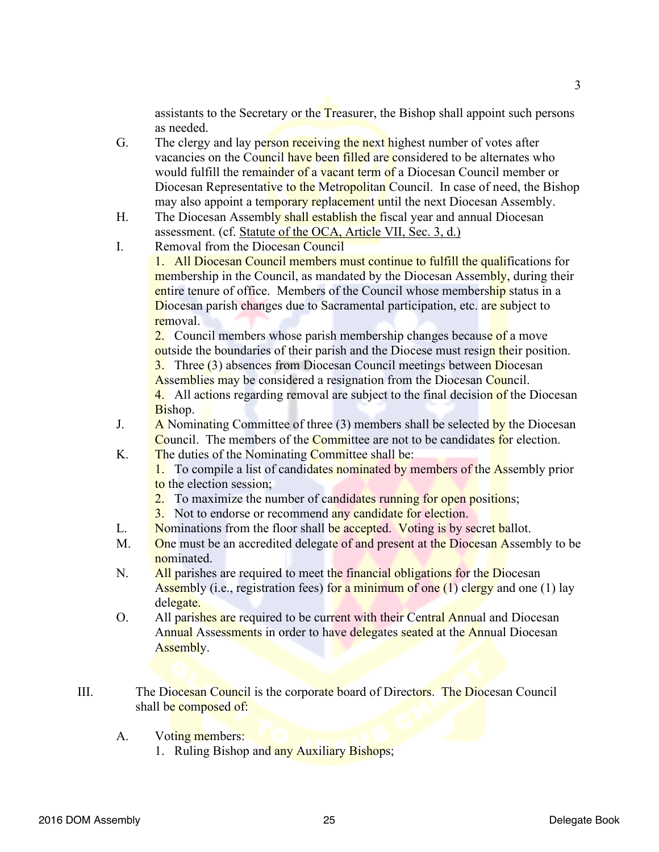assistants to the Secretary or the Treasurer, the Bishop shall appoint such persons as needed.

- G. The clergy and lay person receiving the next highest number of votes after vacancies on the Council have been filled are considered to be alternates who would fulfill the remainder of a vacant term of a Diocesan Council member or Diocesan Representative to the Metropolitan Council. In case of need, the Bishop may also appoint a temporary replacement until the next Diocesan Assembly.
- H. The Diocesan Assembly shall establish the fiscal year and annual Diocesan assessment. (cf. Statute of the OCA, Article VII, Sec. 3, d.)
- I. Removal from the Diocesan Council

1. All Diocesan Council members must continue to fulfill the qualifications for membership in the Council, as mandated by the Diocesan Assembly, during their entire tenure of office. Members of the Council whose membership status in a Diocesan parish changes due to Sacramental participation, etc. are subject to removal.

2. Council members whose parish membership changes because of a move outside the boundaries of their parish and the Diocese must resign their position.

3. Three (3) absences from Diocesan Council meetings between Diocesan Assemblies may be considered a resignation from the Diocesan Council.

4. All actions regarding removal are subject to the final decision of the Diocesan Bishop.

- J. A Nominating Committee of three  $(3)$  members shall be selected by the Diocesan Council. The members of the Committee are not to be candidates for election.
- K. The duties of the Nominating Committee shall be:

1. To compile a list of candidates nominated by members of the Assembly prior to the election session;

- 2. To maximize the number of candidates running for open positions;
- 3. Not to endorse or recommend any candidate for election.
- L. Nominations from the floor shall be accepted. Voting is by secret ballot.
- M. One must be an accredited delegate of and present at the Diocesan Assembly to be nominated.
- N. All parishes are required to meet the financial obligations for the Diocesan Assembly (i.e., registration fees) for a minimum of one  $(1)$  clergy and one  $(1)$  lay delegate.
- O. All parishes are required to be current with their Central Annual and Diocesan Annual Assessments in order to have delegates seated at the Annual Diocesan Assembly.
- III. The Diocesan Council is the corporate board of Directors. The Diocesan Council shall be composed of:
	- A. Voting members:
		- 1. Ruling Bishop and any Auxiliary Bishops;

3